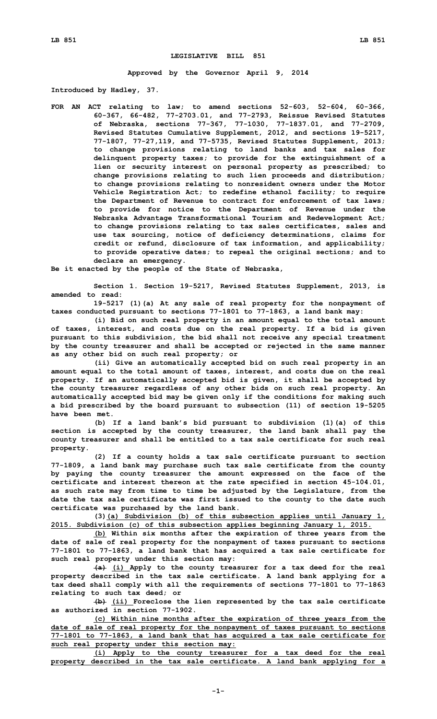## **LEGISLATIVE BILL 851**

**Approved by the Governor April 9, 2014**

**Introduced by Hadley, 37.**

**FOR AN ACT relating to law; to amend sections 52-603, 52-604, 60-366, 60-367, 66-482, 77-2703.01, and 77-2793, Reissue Revised Statutes of Nebraska, sections 77-367, 77-1030, 77-1837.01, and 77-2709, Revised Statutes Cumulative Supplement, 2012, and sections 19-5217, 77-1807, 77-27,119, and 77-5735, Revised Statutes Supplement, 2013; to change provisions relating to land banks and tax sales for delinquent property taxes; to provide for the extinguishment of <sup>a</sup> lien or security interest on personal property as prescribed; to change provisions relating to such lien proceeds and distribution; to change provisions relating to nonresident owners under the Motor Vehicle Registration Act; to redefine ethanol facility; to require the Department of Revenue to contract for enforcement of tax laws; to provide for notice to the Department of Revenue under the Nebraska Advantage Transformational Tourism and Redevelopment Act; to change provisions relating to tax sales certificates, sales and use tax sourcing, notice of deficiency determinations, claims for credit or refund, disclosure of tax information, and applicability; to provide operative dates; to repeal the original sections; and to declare an emergency.**

**Be it enacted by the people of the State of Nebraska,**

**Section 1. Section 19-5217, Revised Statutes Supplement, 2013, is amended to read:**

**19-5217 (1)(a) At any sale of real property for the nonpayment of taxes conducted pursuant to sections 77-1801 to 77-1863, <sup>a</sup> land bank may:**

**(i) Bid on such real property in an amount equal to the total amount of taxes, interest, and costs due on the real property. If <sup>a</sup> bid is given pursuant to this subdivision, the bid shall not receive any special treatment by the county treasurer and shall be accepted or rejected in the same manner as any other bid on such real property; or**

**(ii) Give an automatically accepted bid on such real property in an amount equal to the total amount of taxes, interest, and costs due on the real property. If an automatically accepted bid is given, it shall be accepted by the county treasurer regardless of any other bids on such real property. An automatically accepted bid may be given only if the conditions for making such <sup>a</sup> bid prescribed by the board pursuant to subsection (11) of section 19-5205 have been met.**

**(b) If <sup>a</sup> land bank's bid pursuant to subdivision (1)(a) of this section is accepted by the county treasurer, the land bank shall pay the county treasurer and shall be entitled to <sup>a</sup> tax sale certificate for such real property.**

**(2) If <sup>a</sup> county holds <sup>a</sup> tax sale certificate pursuant to section 77-1809, <sup>a</sup> land bank may purchase such tax sale certificate from the county by paying the county treasurer the amount expressed on the face of the certificate and interest thereon at the rate specified in section 45-104.01, as such rate may from time to time be adjusted by the Legislature, from the date the tax sale certificate was first issued to the county to the date such certificate was purchased by the land bank.**

**(3)(a) Subdivision (b) of this subsection applies until January 1, 2015. Subdivision (c) of this subsection applies beginning January 1, 2015.**

**(b) Within six months after the expiration of three years from the date of sale of real property for the nonpayment of taxes pursuant to sections 77-1801 to 77-1863, <sup>a</sup> land bank that has acquired <sup>a</sup> tax sale certificate for such real property under this section may:**

**(a) (i) Apply to the county treasurer for <sup>a</sup> tax deed for the real property described in the tax sale certificate. A land bank applying for <sup>a</sup> tax deed shall comply with all the requirements of sections 77-1801 to 77-1863 relating to such tax deed; or**

**(b) (ii) Foreclose the lien represented by the tax sale certificate as authorized in section 77-1902.**

**(c) Within nine months after the expiration of three years from the date of sale of real property for the nonpayment of taxes pursuant to sections 77-1801 to 77-1863, <sup>a</sup> land bank that has acquired <sup>a</sup> tax sale certificate for such real property under this section may:**

**(i) Apply to the county treasurer for <sup>a</sup> tax deed for the real property described in the tax sale certificate. A land bank applying for <sup>a</sup>**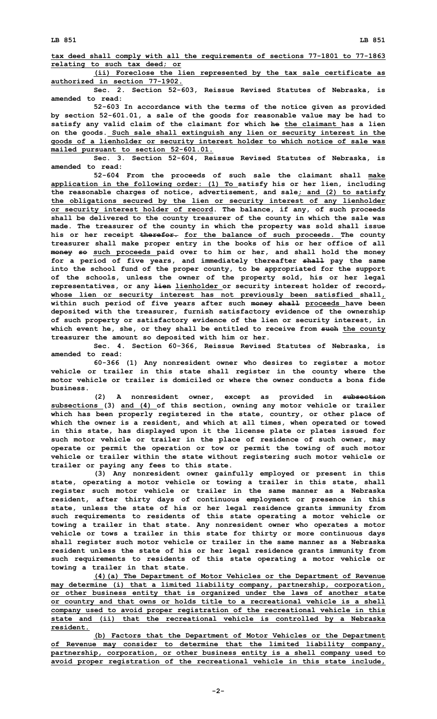**tax deed shall comply with all the requirements of sections 77-1801 to 77-1863 relating to such tax deed; or**

**(ii) Foreclose the lien represented by the tax sale certificate as authorized in section 77-1902.**

**Sec. 2. Section 52-603, Reissue Revised Statutes of Nebraska, is amended to read:**

**52-603 In accordance with the terms of the notice given as provided by section 52-601.01, <sup>a</sup> sale of the goods for reasonable value may be had to satisfy any valid claim of the claimant for which he the claimant has <sup>a</sup> lien on the goods. Such sale shall extinguish any lien or security interest in the goods of <sup>a</sup> lienholder or security interest holder to which notice of sale was mailed pursuant to section 52-601.01.**

**Sec. 3. Section 52-604, Reissue Revised Statutes of Nebraska, is amended to read:**

**52-604 From the proceeds of such sale the claimant shall make application in the following order: (1) To satisfy his or her lien, including the reasonable charges of notice, advertisement, and sale; and (2) to satisfy the obligations secured by the lien or security interest of any lienholder or security interest holder of record. The balance, if any, of such proceeds shall be delivered to the county treasurer of the county in which the sale was made. The treasurer of the county in which the property was sold shall issue his or her receipt therefor. for the balance of such proceeds. The county treasurer shall make proper entry in the books of his or her office of all money so such proceeds paid over to him or her, and shall hold the money for <sup>a</sup> period of five years, and immediately thereafter shall pay the same into the school fund of the proper county, to be appropriated for the support of the schools, unless the owner of the property sold, his or her legal representatives, or any lien lienholder or security interest holder of record, whose lien or security interest has not previously been satisfied shall, within such period of five years after such money shall proceeds have been deposited with the treasurer, furnish satisfactory evidence of the ownership of such property or satisfactory evidence of the lien or security interest, in which event he, she, or they shall be entitled to receive from such the county treasurer the amount so deposited with him or her.**

**Sec. 4. Section 60-366, Reissue Revised Statutes of Nebraska, is amended to read:**

**60-366 (1) Any nonresident owner who desires to register <sup>a</sup> motor vehicle or trailer in this state shall register in the county where the motor vehicle or trailer is domiciled or where the owner conducts a bona fide business.**

**(2) <sup>A</sup> nonresident owner, except as provided in subsection subsections (3) and (4) of this section, owning any motor vehicle or trailer which has been properly registered in the state, country, or other place of which the owner is <sup>a</sup> resident, and which at all times, when operated or towed in this state, has displayed upon it the license plate or plates issued for such motor vehicle or trailer in the place of residence of such owner, may operate or permit the operation or tow or permit the towing of such motor vehicle or trailer within the state without registering such motor vehicle or trailer or paying any fees to this state.**

**(3) Any nonresident owner gainfully employed or present in this state, operating <sup>a</sup> motor vehicle or towing <sup>a</sup> trailer in this state, shall register such motor vehicle or trailer in the same manner as <sup>a</sup> Nebraska resident, after thirty days of continuous employment or presence in this state, unless the state of his or her legal residence grants immunity from such requirements to residents of this state operating <sup>a</sup> motor vehicle or towing <sup>a</sup> trailer in that state. Any nonresident owner who operates <sup>a</sup> motor vehicle or tows <sup>a</sup> trailer in this state for thirty or more continuous days shall register such motor vehicle or trailer in the same manner as <sup>a</sup> Nebraska resident unless the state of his or her legal residence grants immunity from such requirements to residents of this state operating <sup>a</sup> motor vehicle or towing <sup>a</sup> trailer in that state.**

**(4)(a) The Department of Motor Vehicles or the Department of Revenue may determine (i) that <sup>a</sup> limited liability company, partnership, corporation, or other business entity that is organized under the laws of another state or country and that owns or holds title to <sup>a</sup> recreational vehicle is <sup>a</sup> shell company used to avoid proper registration of the recreational vehicle in this state and (ii) that the recreational vehicle is controlled by <sup>a</sup> Nebraska resident.**

**(b) Factors that the Department of Motor Vehicles or the Department of Revenue may consider to determine that the limited liability company, partnership, corporation, or other business entity is <sup>a</sup> shell company used to avoid proper registration of the recreational vehicle in this state include,**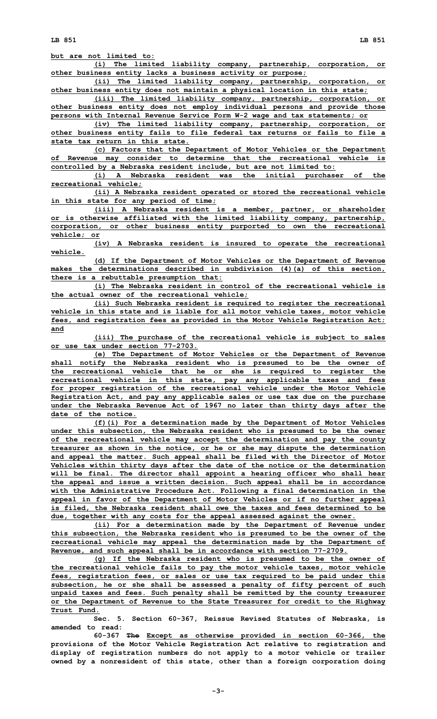**but are not limited to:**

**(i) The limited liability company, partnership, corporation, or other business entity lacks <sup>a</sup> business activity or purpose;**

**(ii) The limited liability company, partnership, corporation, or other business entity does not maintain <sup>a</sup> physical location in this state;**

**(iii) The limited liability company, partnership, corporation, or other business entity does not employ individual persons and provide those persons with Internal Revenue Service Form W-2 wage and tax statements; or**

**(iv) The limited liability company, partnership, corporation, or other business entity fails to file federal tax returns or fails to file <sup>a</sup> state tax return in this state.**

**(c) Factors that the Department of Motor Vehicles or the Department of Revenue may consider to determine that the recreational vehicle is controlled by <sup>a</sup> Nebraska resident include, but are not limited to:**

**(i) <sup>A</sup> Nebraska resident was the initial purchaser of the recreational vehicle;**

**(ii) <sup>A</sup> Nebraska resident operated or stored the recreational vehicle in this state for any period of time;**

**(iii) <sup>A</sup> Nebraska resident is <sup>a</sup> member, partner, or shareholder or is otherwise affiliated with the limited liability company, partnership, corporation, or other business entity purported to own the recreational vehicle; or**

**(iv) <sup>A</sup> Nebraska resident is insured to operate the recreational vehicle.**

**(d) If the Department of Motor Vehicles or the Department of Revenue makes the determinations described in subdivision (4)(a) of this section, there is <sup>a</sup> rebuttable presumption that:**

**(i) The Nebraska resident in control of the recreational vehicle is the actual owner of the recreational vehicle;**

**(ii) Such Nebraska resident is required to register the recreational vehicle in this state and is liable for all motor vehicle taxes, motor vehicle fees, and registration fees as provided in the Motor Vehicle Registration Act; and**

**(iii) The purchase of the recreational vehicle is subject to sales or use tax under section 77-2703.**

**(e) The Department of Motor Vehicles or the Department of Revenue shall notify the Nebraska resident who is presumed to be the owner of the recreational vehicle that he or she is required to register the recreational vehicle in this state, pay any applicable taxes and fees for proper registration of the recreational vehicle under the Motor Vehicle Registration Act, and pay any applicable sales or use tax due on the purchase under the Nebraska Revenue Act of 1967 no later than thirty days after the date of the notice.**

**(f)(i) For <sup>a</sup> determination made by the Department of Motor Vehicles under this subsection, the Nebraska resident who is presumed to be the owner of the recreational vehicle may accept the determination and pay the county treasurer as shown in the notice, or he or she may dispute the determination and appeal the matter. Such appeal shall be filed with the Director of Motor Vehicles within thirty days after the date of the notice or the determination will be final. The director shall appoint <sup>a</sup> hearing officer who shall hear the appeal and issue <sup>a</sup> written decision. Such appeal shall be in accordance with the Administrative Procedure Act. Following <sup>a</sup> final determination in the appeal in favor of the Department of Motor Vehicles or if no further appeal is filed, the Nebraska resident shall owe the taxes and fees determined to be due, together with any costs for the appeal assessed against the owner.**

**(ii) For <sup>a</sup> determination made by the Department of Revenue under this subsection, the Nebraska resident who is presumed to be the owner of the recreational vehicle may appeal the determination made by the Department of Revenue, and such appeal shall be in accordance with section 77-2709.**

**(g) If the Nebraska resident who is presumed to be the owner of the recreational vehicle fails to pay the motor vehicle taxes, motor vehicle fees, registration fees, or sales or use tax required to be paid under this subsection, he or she shall be assessed <sup>a</sup> penalty of fifty percent of such unpaid taxes and fees. Such penalty shall be remitted by the county treasurer or the Department of Revenue to the State Treasurer for credit to the Highway Trust Fund.**

**Sec. 5. Section 60-367, Reissue Revised Statutes of Nebraska, is amended to read:**

**60-367 The Except as otherwise provided in section 60-366, the provisions of the Motor Vehicle Registration Act relative to registration and display of registration numbers do not apply to <sup>a</sup> motor vehicle or trailer owned by <sup>a</sup> nonresident of this state, other than <sup>a</sup> foreign corporation doing**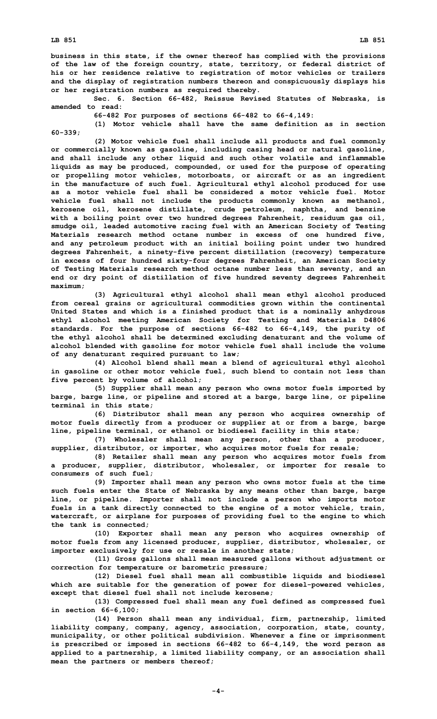**business in this state, if the owner thereof has complied with the provisions of the law of the foreign country, state, territory, or federal district of his or her residence relative to registration of motor vehicles or trailers and the display of registration numbers thereon and conspicuously displays his or her registration numbers as required thereby.**

**Sec. 6. Section 66-482, Reissue Revised Statutes of Nebraska, is amended to read:**

**66-482 For purposes of sections 66-482 to 66-4,149:**

**(1) Motor vehicle shall have the same definition as in section 60-339;**

**(2) Motor vehicle fuel shall include all products and fuel commonly or commercially known as gasoline, including casing head or natural gasoline, and shall include any other liquid and such other volatile and inflammable liquids as may be produced, compounded, or used for the purpose of operating or propelling motor vehicles, motorboats, or aircraft or as an ingredient in the manufacture of such fuel. Agricultural ethyl alcohol produced for use as a motor vehicle fuel shall be considered a motor vehicle fuel. Motor vehicle fuel shall not include the products commonly known as methanol, kerosene oil, kerosene distillate, crude petroleum, naphtha, and benzine with <sup>a</sup> boiling point over two hundred degrees Fahrenheit, residuum gas oil, smudge oil, leaded automotive racing fuel with an American Society of Testing Materials research method octane number in excess of one hundred five, and any petroleum product with an initial boiling point under two hundred degrees Fahrenheit, <sup>a</sup> ninety-five percent distillation (recovery) temperature in excess of four hundred sixty-four degrees Fahrenheit, an American Society of Testing Materials research method octane number less than seventy, and an end or dry point of distillation of five hundred seventy degrees Fahrenheit maximum;**

**(3) Agricultural ethyl alcohol shall mean ethyl alcohol produced from cereal grains or agricultural commodities grown within the continental United States and which is <sup>a</sup> finished product that is <sup>a</sup> nominally anhydrous ethyl alcohol meeting American Society for Testing and Materials D4806 standards. For the purpose of sections 66-482 to 66-4,149, the purity of the ethyl alcohol shall be determined excluding denaturant and the volume of alcohol blended with gasoline for motor vehicle fuel shall include the volume of any denaturant required pursuant to law;**

**(4) Alcohol blend shall mean <sup>a</sup> blend of agricultural ethyl alcohol in gasoline or other motor vehicle fuel, such blend to contain not less than five percent by volume of alcohol;**

**(5) Supplier shall mean any person who owns motor fuels imported by barge, barge line, or pipeline and stored at <sup>a</sup> barge, barge line, or pipeline terminal in this state;**

**(6) Distributor shall mean any person who acquires ownership of motor fuels directly from <sup>a</sup> producer or supplier at or from <sup>a</sup> barge, barge line, pipeline terminal, or ethanol or biodiesel facility in this state;**

**(7) Wholesaler shall mean any person, other than <sup>a</sup> producer, supplier, distributor, or importer, who acquires motor fuels for resale;**

**(8) Retailer shall mean any person who acquires motor fuels from <sup>a</sup> producer, supplier, distributor, wholesaler, or importer for resale to consumers of such fuel;**

**(9) Importer shall mean any person who owns motor fuels at the time such fuels enter the State of Nebraska by any means other than barge, barge line, or pipeline. Importer shall not include <sup>a</sup> person who imports motor fuels in <sup>a</sup> tank directly connected to the engine of <sup>a</sup> motor vehicle, train, watercraft, or airplane for purposes of providing fuel to the engine to which the tank is connected;**

**(10) Exporter shall mean any person who acquires ownership of motor fuels from any licensed producer, supplier, distributor, wholesaler, or importer exclusively for use or resale in another state;**

**(11) Gross gallons shall mean measured gallons without adjustment or correction for temperature or barometric pressure;**

**(12) Diesel fuel shall mean all combustible liquids and biodiesel which are suitable for the generation of power for diesel-powered vehicles, except that diesel fuel shall not include kerosene;**

**(13) Compressed fuel shall mean any fuel defined as compressed fuel in section 66-6,100;**

**(14) Person shall mean any individual, firm, partnership, limited liability company, company, agency, association, corporation, state, county, municipality, or other political subdivision. Whenever <sup>a</sup> fine or imprisonment is prescribed or imposed in sections 66-482 to 66-4,149, the word person as applied to <sup>a</sup> partnership, <sup>a</sup> limited liability company, or an association shall mean the partners or members thereof;**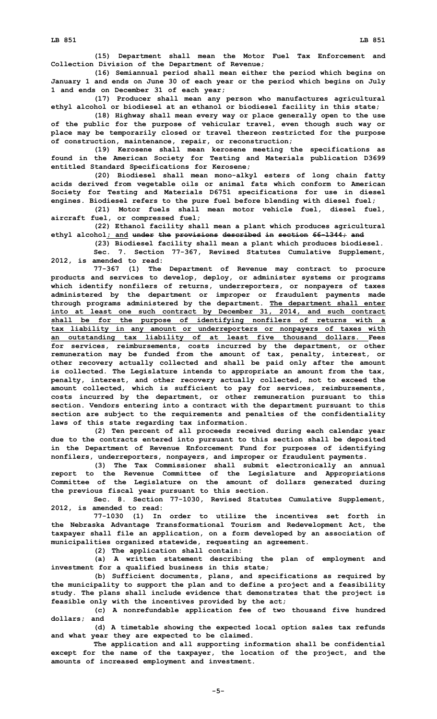**(15) Department shall mean the Motor Fuel Tax Enforcement and Collection Division of the Department of Revenue;**

**(16) Semiannual period shall mean either the period which begins on January 1 and ends on June 30 of each year or the period which begins on July 1 and ends on December 31 of each year;**

**(17) Producer shall mean any person who manufactures agricultural ethyl alcohol or biodiesel at an ethanol or biodiesel facility in this state;**

**(18) Highway shall mean every way or place generally open to the use of the public for the purpose of vehicular travel, even though such way or place may be temporarily closed or travel thereon restricted for the purpose of construction, maintenance, repair, or reconstruction;**

**(19) Kerosene shall mean kerosene meeting the specifications as found in the American Society for Testing and Materials publication D3699 entitled Standard Specifications for Kerosene;**

**(20) Biodiesel shall mean mono-alkyl esters of long chain fatty acids derived from vegetable oils or animal fats which conform to American Society for Testing and Materials D6751 specifications for use in diesel engines. Biodiesel refers to the pure fuel before blending with diesel fuel;**

**(21) Motor fuels shall mean motor vehicle fuel, diesel fuel, aircraft fuel, or compressed fuel;**

**(22) Ethanol facility shall mean <sup>a</sup> plant which produces agricultural ethyl alcohol; and under the provisions described in section 66-1344; and**

**(23) Biodiesel facility shall mean <sup>a</sup> plant which produces biodiesel.**

**Sec. 7. Section 77-367, Revised Statutes Cumulative Supplement, 2012, is amended to read:**

**77-367 (1) The Department of Revenue may contract to procure products and services to develop, deploy, or administer systems or programs which identify nonfilers of returns, underreporters, or nonpayers of taxes administered by the department or improper or fraudulent payments made through programs administered by the department. The department shall enter into at least one such contract by December 31, 2014, and such contract shall be for the purpose of identifying nonfilers of returns with <sup>a</sup> tax liability in any amount or underreporters or nonpayers of taxes with an outstanding tax liability of at least five thousand dollars. Fees for services, reimbursements, costs incurred by the department, or other remuneration may be funded from the amount of tax, penalty, interest, or other recovery actually collected and shall be paid only after the amount is collected. The Legislature intends to appropriate an amount from the tax, penalty, interest, and other recovery actually collected, not to exceed the amount collected, which is sufficient to pay for services, reimbursements, costs incurred by the department, or other remuneration pursuant to this section. Vendors entering into <sup>a</sup> contract with the department pursuant to this section are subject to the requirements and penalties of the confidentiality laws of this state regarding tax information.**

**(2) Ten percent of all proceeds received during each calendar year due to the contracts entered into pursuant to this section shall be deposited in the Department of Revenue Enforcement Fund for purposes of identifying nonfilers, underreporters, nonpayers, and improper or fraudulent payments.**

**(3) The Tax Commissioner shall submit electronically an annual report to the Revenue Committee of the Legislature and Appropriations Committee of the Legislature on the amount of dollars generated during the previous fiscal year pursuant to this section.**

**Sec. 8. Section 77-1030, Revised Statutes Cumulative Supplement, 2012, is amended to read:**

**77-1030 (1) In order to utilize the incentives set forth in the Nebraska Advantage Transformational Tourism and Redevelopment Act, the taxpayer shall file an application, on <sup>a</sup> form developed by an association of municipalities organized statewide, requesting an agreement.**

**(2) The application shall contain:**

**(a) <sup>A</sup> written statement describing the plan of employment and investment for <sup>a</sup> qualified business in this state;**

**(b) Sufficient documents, plans, and specifications as required by the municipality to support the plan and to define <sup>a</sup> project and <sup>a</sup> feasibility study. The plans shall include evidence that demonstrates that the project is feasible only with the incentives provided by the act;**

**(c) <sup>A</sup> nonrefundable application fee of two thousand five hundred dollars; and**

**(d) <sup>A</sup> timetable showing the expected local option sales tax refunds and what year they are expected to be claimed.**

**The application and all supporting information shall be confidential except for the name of the taxpayer, the location of the project, and the amounts of increased employment and investment.**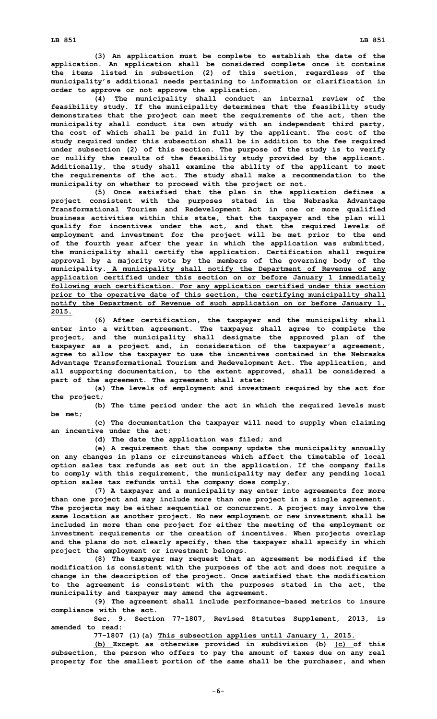**(3) An application must be complete to establish the date of the application. An application shall be considered complete once it contains the items listed in subsection (2) of this section, regardless of the municipality's additional needs pertaining to information or clarification in order to approve or not approve the application.**

**(4) The municipality shall conduct an internal review of the feasibility study. If the municipality determines that the feasibility study demonstrates that the project can meet the requirements of the act, then the municipality shall conduct its own study with an independent third party, the cost of which shall be paid in full by the applicant. The cost of the study required under this subsection shall be in addition to the fee required under subsection (2) of this section. The purpose of the study is to verify or nullify the results of the feasibility study provided by the applicant. Additionally, the study shall examine the ability of the applicant to meet the requirements of the act. The study shall make <sup>a</sup> recommendation to the municipality on whether to proceed with the project or not.**

**(5) Once satisfied that the plan in the application defines <sup>a</sup> project consistent with the purposes stated in the Nebraska Advantage Transformational Tourism and Redevelopment Act in one or more qualified business activities within this state, that the taxpayer and the plan will qualify for incentives under the act, and that the required levels of employment and investment for the project will be met prior to the end of the fourth year after the year in which the application was submitted, the municipality shall certify the application. Certification shall require approval by <sup>a</sup> majority vote by the members of the governing body of the municipality. A municipality shall notify the Department of Revenue of any application certified under this section on or before January 1 immediately following such certification. For any application certified under this section prior to the operative date of this section, the certifying municipality shall notify the Department of Revenue of such application on or before January 1, 2015.**

**(6) After certification, the taxpayer and the municipality shall enter into <sup>a</sup> written agreement. The taxpayer shall agree to complete the project, and the municipality shall designate the approved plan of the taxpayer as <sup>a</sup> project and, in consideration of the taxpayer's agreement, agree to allow the taxpayer to use the incentives contained in the Nebraska Advantage Transformational Tourism and Redevelopment Act. The application, and all supporting documentation, to the extent approved, shall be considered <sup>a</sup> part of the agreement. The agreement shall state:**

**(a) The levels of employment and investment required by the act for the project;**

**(b) The time period under the act in which the required levels must be met;**

**(c) The documentation the taxpayer will need to supply when claiming an incentive under the act;**

**(d) The date the application was filed; and**

**(e) <sup>A</sup> requirement that the company update the municipality annually on any changes in plans or circumstances which affect the timetable of local option sales tax refunds as set out in the application. If the company fails to comply with this requirement, the municipality may defer any pending local option sales tax refunds until the company does comply.**

**(7) <sup>A</sup> taxpayer and <sup>a</sup> municipality may enter into agreements for more than one project and may include more than one project in <sup>a</sup> single agreement. The projects may be either sequential or concurrent. A project may involve the same location as another project. No new employment or new investment shall be included in more than one project for either the meeting of the employment or investment requirements or the creation of incentives. When projects overlap and the plans do not clearly specify, then the taxpayer shall specify in which project the employment or investment belongs.**

**(8) The taxpayer may request that an agreement be modified if the modification is consistent with the purposes of the act and does not require <sup>a</sup> change in the description of the project. Once satisfied that the modification to the agreement is consistent with the purposes stated in the act, the municipality and taxpayer may amend the agreement.**

**(9) The agreement shall include performance-based metrics to insure compliance with the act.**

**Sec. 9. Section 77-1807, Revised Statutes Supplement, 2013, is amended to read:**

**77-1807 (1)(a) This subsection applies until January 1, 2015.**

**(b) Except as otherwise provided in subdivision (b) (c) of this subsection, the person who offers to pay the amount of taxes due on any real property for the smallest portion of the same shall be the purchaser, and when**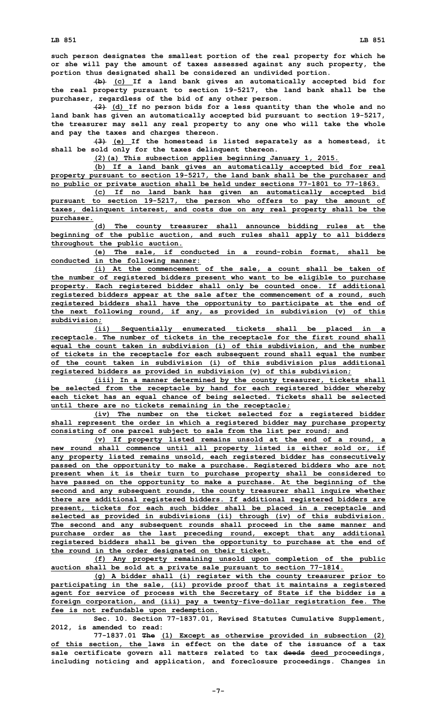**(b) (c) If <sup>a</sup> land bank gives an automatically accepted bid for the real property pursuant to section 19-5217, the land bank shall be the purchaser, regardless of the bid of any other person.**

**(2) (d) If no person bids for <sup>a</sup> less quantity than the whole and no land bank has given an automatically accepted bid pursuant to section 19-5217, the treasurer may sell any real property to any one who will take the whole and pay the taxes and charges thereon.**

**(3) (e) If the homestead is listed separately as <sup>a</sup> homestead, it shall be sold only for the taxes delinquent thereon.**

**(2)(a) This subsection applies beginning January 1, 2015.**

**(b) If <sup>a</sup> land bank gives an automatically accepted bid for real property pursuant to section 19-5217, the land bank shall be the purchaser and no public or private auction shall be held under sections 77-1801 to 77-1863.**

**(c) If no land bank has given an automatically accepted bid pursuant to section 19-5217, the person who offers to pay the amount of taxes, delinquent interest, and costs due on any real property shall be the purchaser.**

**(d) The county treasurer shall announce bidding rules at the beginning of the public auction, and such rules shall apply to all bidders throughout the public auction.**

**(e) The sale, if conducted in <sup>a</sup> round-robin format, shall be conducted in the following manner:**

**(i) At the commencement of the sale, <sup>a</sup> count shall be taken of the number of registered bidders present who want to be eligible to purchase property. Each registered bidder shall only be counted once. If additional registered bidders appear at the sale after the commencement of <sup>a</sup> round, such registered bidders shall have the opportunity to participate at the end of the next following round, if any, as provided in subdivision (v) of this subdivision;**

**(ii) Sequentially enumerated tickets shall be placed in <sup>a</sup> receptacle. The number of tickets in the receptacle for the first round shall equal the count taken in subdivision (i) of this subdivision, and the number of tickets in the receptacle for each subsequent round shall equal the number of the count taken in subdivision (i) of this subdivision plus additional registered bidders as provided in subdivision (v) of this subdivision;**

**(iii) In <sup>a</sup> manner determined by the county treasurer, tickets shall be selected from the receptacle by hand for each registered bidder whereby each ticket has an equal chance of being selected. Tickets shall be selected until there are no tickets remaining in the receptacle;**

**(iv) The number on the ticket selected for <sup>a</sup> registered bidder shall represent the order in which <sup>a</sup> registered bidder may purchase property consisting of one parcel subject to sale from the list per round; and**

**(v) If property listed remains unsold at the end of <sup>a</sup> round, <sup>a</sup> new round shall commence until all property listed is either sold or, if any property listed remains unsold, each registered bidder has consecutively passed on the opportunity to make <sup>a</sup> purchase. Registered bidders who are not present when it is their turn to purchase property shall be considered to have passed on the opportunity to make <sup>a</sup> purchase. At the beginning of the second and any subsequent rounds, the county treasurer shall inquire whether there are additional registered bidders. If additional registered bidders are present, tickets for each such bidder shall be placed in <sup>a</sup> receptacle and selected as provided in subdivisions (ii) through (iv) of this subdivision. The second and any subsequent rounds shall proceed in the same manner and purchase order as the last preceding round, except that any additional registered bidders shall be given the opportunity to purchase at the end of the round in the order designated on their ticket.**

**(f) Any property remaining unsold upon completion of the public auction shall be sold at <sup>a</sup> private sale pursuant to section 77-1814.**

**(g) <sup>A</sup> bidder shall (i) register with the county treasurer prior to participating in the sale, (ii) provide proof that it maintains <sup>a</sup> registered agent for service of process with the Secretary of State if the bidder is <sup>a</sup> foreign corporation, and (iii) pay <sup>a</sup> twenty-five-dollar registration fee. The fee is not refundable upon redemption.**

**Sec. 10. Section 77-1837.01, Revised Statutes Cumulative Supplement, 2012, is amended to read:**

**77-1837.01 The (1) Except as otherwise provided in subsection (2) of this section, the laws in effect on the date of the issuance of <sup>a</sup> tax sale certificate govern all matters related to tax deeds deed proceedings, including noticing and application, and foreclosure proceedings. Changes in**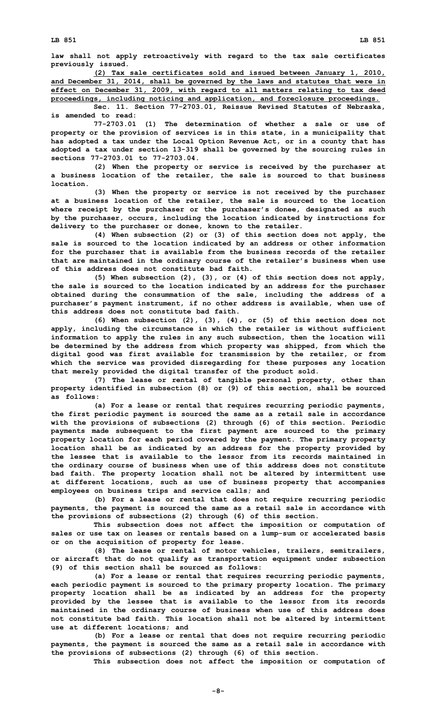**law shall not apply retroactively with regard to the tax sale certificates previously issued.**

**(2) Tax sale certificates sold and issued between January 1, 2010, and December 31, 2014, shall be governed by the laws and statutes that were in effect on December 31, 2009, with regard to all matters relating to tax deed proceedings, including noticing and application, and foreclosure proceedings.**

**Sec. 11. Section 77-2703.01, Reissue Revised Statutes of Nebraska, is amended to read:**

**77-2703.01 (1) The determination of whether <sup>a</sup> sale or use of property or the provision of services is in this state, in <sup>a</sup> municipality that has adopted <sup>a</sup> tax under the Local Option Revenue Act, or in <sup>a</sup> county that has adopted <sup>a</sup> tax under section 13-319 shall be governed by the sourcing rules in sections 77-2703.01 to 77-2703.04.**

**(2) When the property or service is received by the purchaser at <sup>a</sup> business location of the retailer, the sale is sourced to that business location.**

**(3) When the property or service is not received by the purchaser at <sup>a</sup> business location of the retailer, the sale is sourced to the location where receipt by the purchaser or the purchaser's donee, designated as such by the purchaser, occurs, including the location indicated by instructions for delivery to the purchaser or donee, known to the retailer.**

**(4) When subsection (2) or (3) of this section does not apply, the sale is sourced to the location indicated by an address or other information for the purchaser that is available from the business records of the retailer that are maintained in the ordinary course of the retailer's business when use of this address does not constitute bad faith.**

**(5) When subsection (2), (3), or (4) of this section does not apply, the sale is sourced to the location indicated by an address for the purchaser obtained during the consummation of the sale, including the address of <sup>a</sup> purchaser's payment instrument, if no other address is available, when use of this address does not constitute bad faith.**

**(6) When subsection (2), (3), (4), or (5) of this section does not apply, including the circumstance in which the retailer is without sufficient information to apply the rules in any such subsection, then the location will be determined by the address from which property was shipped, from which the digital good was first available for transmission by the retailer, or from which the service was provided disregarding for these purposes any location that merely provided the digital transfer of the product sold.**

**(7) The lease or rental of tangible personal property, other than property identified in subsection (8) or (9) of this section, shall be sourced as follows:**

**(a) For <sup>a</sup> lease or rental that requires recurring periodic payments, the first periodic payment is sourced the same as <sup>a</sup> retail sale in accordance with the provisions of subsections (2) through (6) of this section. Periodic payments made subsequent to the first payment are sourced to the primary property location for each period covered by the payment. The primary property location shall be as indicated by an address for the property provided by the lessee that is available to the lessor from its records maintained in the ordinary course of business when use of this address does not constitute bad faith. The property location shall not be altered by intermittent use at different locations, such as use of business property that accompanies employees on business trips and service calls; and**

**(b) For <sup>a</sup> lease or rental that does not require recurring periodic payments, the payment is sourced the same as <sup>a</sup> retail sale in accordance with the provisions of subsections (2) through (6) of this section.**

**This subsection does not affect the imposition or computation of sales or use tax on leases or rentals based on <sup>a</sup> lump-sum or accelerated basis or on the acquisition of property for lease.**

**(8) The lease or rental of motor vehicles, trailers, semitrailers, or aircraft that do not qualify as transportation equipment under subsection (9) of this section shall be sourced as follows:**

**(a) For <sup>a</sup> lease or rental that requires recurring periodic payments, each periodic payment is sourced to the primary property location. The primary property location shall be as indicated by an address for the property provided by the lessee that is available to the lessor from its records maintained in the ordinary course of business when use of this address does not constitute bad faith. This location shall not be altered by intermittent use at different locations; and**

**(b) For <sup>a</sup> lease or rental that does not require recurring periodic payments, the payment is sourced the same as <sup>a</sup> retail sale in accordance with the provisions of subsections (2) through (6) of this section.**

**This subsection does not affect the imposition or computation of**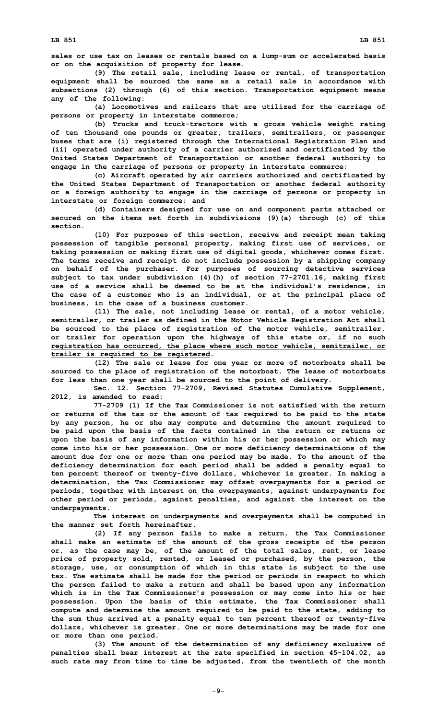**(9) The retail sale, including lease or rental, of transportation equipment shall be sourced the same as <sup>a</sup> retail sale in accordance with subsections (2) through (6) of this section. Transportation equipment means any of the following:**

**(a) Locomotives and railcars that are utilized for the carriage of persons or property in interstate commerce;**

**(b) Trucks and truck-tractors with <sup>a</sup> gross vehicle weight rating of ten thousand one pounds or greater, trailers, semitrailers, or passenger buses that are (i) registered through the International Registration Plan and (ii) operated under authority of <sup>a</sup> carrier authorized and certificated by the United States Department of Transportation or another federal authority to engage in the carriage of persons or property in interstate commerce;**

**(c) Aircraft operated by air carriers authorized and certificated by the United States Department of Transportation or another federal authority or <sup>a</sup> foreign authority to engage in the carriage of persons or property in interstate or foreign commerce; and**

**(d) Containers designed for use on and component parts attached or secured on the items set forth in subdivisions (9)(a) through (c) of this section.**

**(10) For purposes of this section, receive and receipt mean taking possession of tangible personal property, making first use of services, or taking possession or making first use of digital goods, whichever comes first. The terms receive and receipt do not include possession by <sup>a</sup> shipping company on behalf of the purchaser. For purposes of sourcing detective services subject to tax under subdivision (4)(h) of section 77-2701.16, making first use of <sup>a</sup> service shall be deemed to be at the individual's residence, in the case of <sup>a</sup> customer who is an individual, or at the principal place of business, in the case of <sup>a</sup> business customer.**

**(11) The sale, not including lease or rental, of <sup>a</sup> motor vehicle, semitrailer, or trailer as defined in the Motor Vehicle Registration Act shall be sourced to the place of registration of the motor vehicle, semitrailer, or trailer for operation upon the highways of this state or, if no such registration has occurred, the place where such motor vehicle, semitrailer, or trailer is required to be registered.**

**(12) The sale or lease for one year or more of motorboats shall be sourced to the place of registration of the motorboat. The lease of motorboats for less than one year shall be sourced to the point of delivery.**

**Sec. 12. Section 77-2709, Revised Statutes Cumulative Supplement, 2012, is amended to read:**

**77-2709 (1) If the Tax Commissioner is not satisfied with the return or returns of the tax or the amount of tax required to be paid to the state by any person, he or she may compute and determine the amount required to be paid upon the basis of the facts contained in the return or returns or upon the basis of any information within his or her possession or which may come into his or her possession. One or more deficiency determinations of the amount due for one or more than one period may be made. To the amount of the deficiency determination for each period shall be added <sup>a</sup> penalty equal to ten percent thereof or twenty-five dollars, whichever is greater. In making <sup>a</sup> determination, the Tax Commissioner may offset overpayments for <sup>a</sup> period or periods, together with interest on the overpayments, against underpayments for other period or periods, against penalties, and against the interest on the underpayments.**

**The interest on underpayments and overpayments shall be computed in the manner set forth hereinafter.**

**(2) If any person fails to make <sup>a</sup> return, the Tax Commissioner shall make an estimate of the amount of the gross receipts of the person or, as the case may be, of the amount of the total sales, rent, or lease price of property sold, rented, or leased or purchased, by the person, the storage, use, or consumption of which in this state is subject to the use tax. The estimate shall be made for the period or periods in respect to which the person failed to make <sup>a</sup> return and shall be based upon any information which is in the Tax Commissioner's possession or may come into his or her possession. Upon the basis of this estimate, the Tax Commissioner shall compute and determine the amount required to be paid to the state, adding to the sum thus arrived at <sup>a</sup> penalty equal to ten percent thereof or twenty-five dollars, whichever is greater. One or more determinations may be made for one or more than one period.**

**(3) The amount of the determination of any deficiency exclusive of penalties shall bear interest at the rate specified in section 45-104.02, as such rate may from time to time be adjusted, from the twentieth of the month**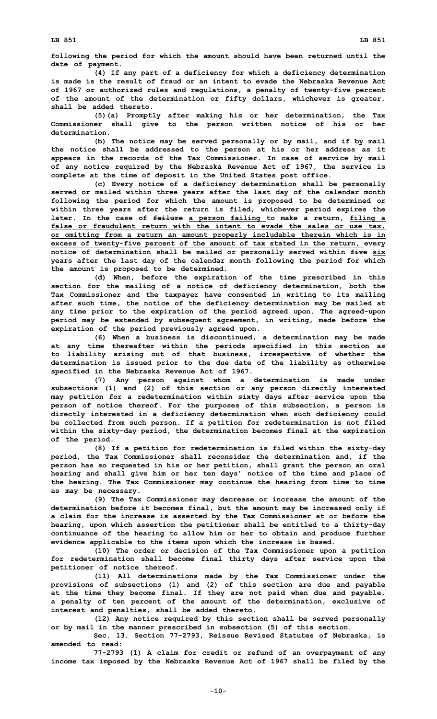**following the period for which the amount should have been returned until the date of payment.**

**(4) If any part of <sup>a</sup> deficiency for which <sup>a</sup> deficiency determination is made is the result of fraud or an intent to evade the Nebraska Revenue Act of 1967 or authorized rules and regulations, <sup>a</sup> penalty of twenty-five percent of the amount of the determination or fifty dollars, whichever is greater, shall be added thereto.**

**(5)(a) Promptly after making his or her determination, the Tax Commissioner shall give to the person written notice of his or her determination.**

**(b) The notice may be served personally or by mail, and if by mail the notice shall be addressed to the person at his or her address as it appears in the records of the Tax Commissioner. In case of service by mail of any notice required by the Nebraska Revenue Act of 1967, the service is complete at the time of deposit in the United States post office.**

**(c) Every notice of <sup>a</sup> deficiency determination shall be personally served or mailed within three years after the last day of the calendar month following the period for which the amount is proposed to be determined or within three years after the return is filed, whichever period expires the later. In the case of failure <sup>a</sup> person failing to make <sup>a</sup> return, filing <sup>a</sup> false or fraudulent return with the intent to evade the sales or use tax, or omitting from <sup>a</sup> return an amount properly includable therein which is in excess of twenty-five percent of the amount of tax stated in the return, every notice of determination shall be mailed or personally served within five six years after the last day of the calendar month following the period for which the amount is proposed to be determined.**

**(d) When, before the expiration of the time prescribed in this section for the mailing of <sup>a</sup> notice of deficiency determination, both the Tax Commissioner and the taxpayer have consented in writing to its mailing after such time, the notice of the deficiency determination may be mailed at any time prior to the expiration of the period agreed upon. The agreed-upon period may be extended by subsequent agreement, in writing, made before the expiration of the period previously agreed upon.**

**(6) When <sup>a</sup> business is discontinued, <sup>a</sup> determination may be made at any time thereafter within the periods specified in this section as to liability arising out of that business, irrespective of whether the determination is issued prior to the due date of the liability as otherwise specified in the Nebraska Revenue Act of 1967.**

**(7) Any person against whom <sup>a</sup> determination is made under subsections (1) and (2) of this section or any person directly interested may petition for <sup>a</sup> redetermination within sixty days after service upon the person of notice thereof. For the purposes of this subsection, <sup>a</sup> person is directly interested in <sup>a</sup> deficiency determination when such deficiency could be collected from such person. If <sup>a</sup> petition for redetermination is not filed within the sixty-day period, the determination becomes final at the expiration of the period.**

**(8) If <sup>a</sup> petition for redetermination is filed within the sixty-day period, the Tax Commissioner shall reconsider the determination and, if the person has so requested in his or her petition, shall grant the person an oral hearing and shall give him or her ten days' notice of the time and place of the hearing. The Tax Commissioner may continue the hearing from time to time as may be necessary.**

**(9) The Tax Commissioner may decrease or increase the amount of the determination before it becomes final, but the amount may be increased only if <sup>a</sup> claim for the increase is asserted by the Tax Commissioner at or before the hearing, upon which assertion the petitioner shall be entitled to <sup>a</sup> thirty-day continuance of the hearing to allow him or her to obtain and produce further evidence applicable to the items upon which the increase is based.**

**(10) The order or decision of the Tax Commissioner upon <sup>a</sup> petition for redetermination shall become final thirty days after service upon the petitioner of notice thereof.**

**(11) All determinations made by the Tax Commissioner under the provisions of subsections (1) and (2) of this section are due and payable at the time they become final. If they are not paid when due and payable, <sup>a</sup> penalty of ten percent of the amount of the determination, exclusive of interest and penalties, shall be added thereto.**

**(12) Any notice required by this section shall be served personally or by mail in the manner prescribed in subsection (5) of this section.**

**Sec. 13. Section 77-2793, Reissue Revised Statutes of Nebraska, is amended to read:**

**77-2793 (1) <sup>A</sup> claim for credit or refund of an overpayment of any income tax imposed by the Nebraska Revenue Act of 1967 shall be filed by the**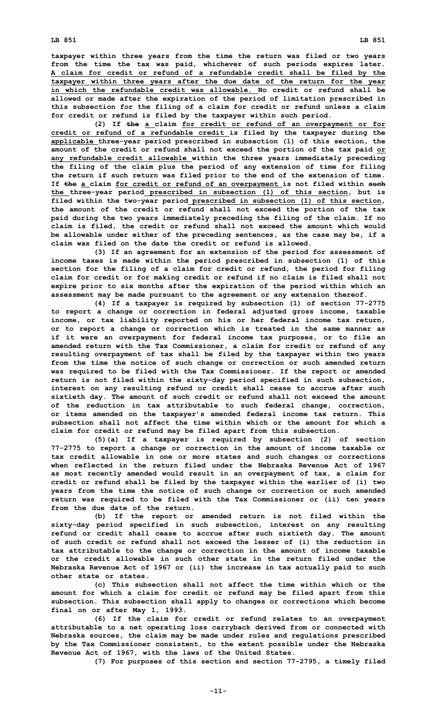**LB 851 LB 851**

**(2) If the <sup>a</sup> claim for credit or refund of an overpayment or for credit or refund of <sup>a</sup> refundable credit is filed by the taxpayer during the applicable three-year period prescribed in subsection (1) of this section, the amount of the credit or refund shall not exceed the portion of the tax paid or any refundable credit allowable within the three years immediately preceding the filing of the claim plus the period of any extension of time for filing the return if such return was filed prior to the end of the extension of time. If the <sup>a</sup> claim for credit or refund of an overpayment is not filed within such the three-year period prescribed in subsection (1) of this section, but is filed within the two-year period prescribed in subsection (1) of this section, the amount of the credit or refund shall not exceed the portion of the tax paid during the two years immediately preceding the filing of the claim. If no claim is filed, the credit or refund shall not exceed the amount which would be allowable under either of the preceding sentences, as the case may be, if <sup>a</sup> claim was filed on the date the credit or refund is allowed.**

**(3) If an agreement for an extension of the period for assessment of income taxes is made within the period prescribed in subsection (1) of this section for the filing of <sup>a</sup> claim for credit or refund, the period for filing claim for credit or for making credit or refund if no claim is filed shall not expire prior to six months after the expiration of the period within which an assessment may be made pursuant to the agreement or any extension thereof.**

**(4) If <sup>a</sup> taxpayer is required by subsection (1) of section 77-2775 to report <sup>a</sup> change or correction in federal adjusted gross income, taxable income, or tax liability reported on his or her federal income tax return, or to report <sup>a</sup> change or correction which is treated in the same manner as if it were an overpayment for federal income tax purposes, or to file an amended return with the Tax Commissioner, <sup>a</sup> claim for credit or refund of any resulting overpayment of tax shall be filed by the taxpayer within two years from the time the notice of such change or correction or such amended return was required to be filed with the Tax Commissioner. If the report or amended return is not filed within the sixty-day period specified in such subsection, interest on any resulting refund or credit shall cease to accrue after such sixtieth day. The amount of such credit or refund shall not exceed the amount of the reduction in tax attributable to such federal change, correction, or items amended on the taxpayer's amended federal income tax return. This subsection shall not affect the time within which or the amount for which a claim for credit or refund may be filed apart from this subsection.**

**(5)(a) If <sup>a</sup> taxpayer is required by subsection (2) of section 77-2775 to report <sup>a</sup> change or correction in the amount of income taxable or tax credit allowable in one or more states and such changes or corrections when reflected in the return filed under the Nebraska Revenue Act of 1967 as most recently amended would result in an overpayment of tax, <sup>a</sup> claim for credit or refund shall be filed by the taxpayer within the earlier of (i) two years from the time the notice of such change or correction or such amended return was required to be filed with the Tax Commissioner or (ii) ten years from the due date of the return.**

**(b) If the report or amended return is not filed within the sixty-day period specified in such subsection, interest on any resulting refund or credit shall cease to accrue after such sixtieth day. The amount of such credit or refund shall not exceed the lesser of (i) the reduction in tax attributable to the change or correction in the amount of income taxable or the credit allowable in such other state in the return filed under the Nebraska Revenue Act of 1967 or (ii) the increase in tax actually paid to such other state or states.**

**(c) This subsection shall not affect the time within which or the amount for which <sup>a</sup> claim for credit or refund may be filed apart from this subsection. This subsection shall apply to changes or corrections which become final on or after May 1, 1993.**

**(6) If the claim for credit or refund relates to an overpayment attributable to <sup>a</sup> net operating loss carryback derived from or connected with Nebraska sources, the claim may be made under rules and regulations prescribed by the Tax Commissioner consistent, to the extent possible under the Nebraska Revenue Act of 1967, with the laws of the United States.**

**(7) For purposes of this section and section 77-2795, <sup>a</sup> timely filed**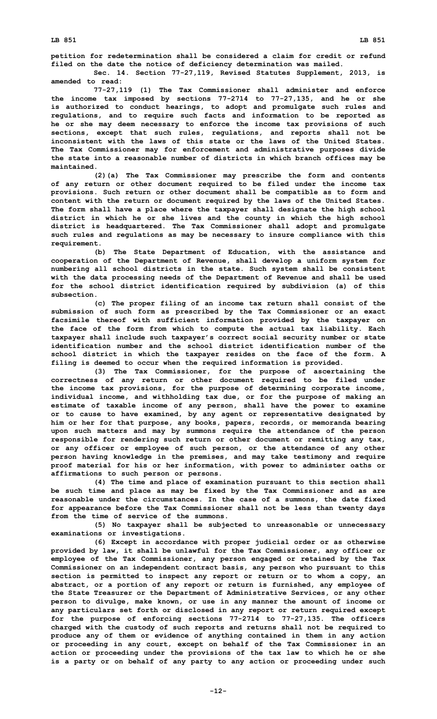**petition for redetermination shall be considered <sup>a</sup> claim for credit or refund filed on the date the notice of deficiency determination was mailed.**

**Sec. 14. Section 77-27,119, Revised Statutes Supplement, 2013, is amended to read:**

**77-27,119 (1) The Tax Commissioner shall administer and enforce the income tax imposed by sections 77-2714 to 77-27,135, and he or she is authorized to conduct hearings, to adopt and promulgate such rules and regulations, and to require such facts and information to be reported as he or she may deem necessary to enforce the income tax provisions of such sections, except that such rules, regulations, and reports shall not be inconsistent with the laws of this state or the laws of the United States. The Tax Commissioner may for enforcement and administrative purposes divide the state into <sup>a</sup> reasonable number of districts in which branch offices may be maintained.**

**(2)(a) The Tax Commissioner may prescribe the form and contents of any return or other document required to be filed under the income tax provisions. Such return or other document shall be compatible as to form and content with the return or document required by the laws of the United States. The form shall have <sup>a</sup> place where the taxpayer shall designate the high school district in which he or she lives and the county in which the high school district is headquartered. The Tax Commissioner shall adopt and promulgate such rules and regulations as may be necessary to insure compliance with this requirement.**

**(b) The State Department of Education, with the assistance and cooperation of the Department of Revenue, shall develop <sup>a</sup> uniform system for numbering all school districts in the state. Such system shall be consistent with the data processing needs of the Department of Revenue and shall be used for the school district identification required by subdivision (a) of this subsection.**

**(c) The proper filing of an income tax return shall consist of the submission of such form as prescribed by the Tax Commissioner or an exact facsimile thereof with sufficient information provided by the taxpayer on the face of the form from which to compute the actual tax liability. Each taxpayer shall include such taxpayer's correct social security number or state identification number and the school district identification number of the school district in which the taxpayer resides on the face of the form. A filing is deemed to occur when the required information is provided.**

**(3) The Tax Commissioner, for the purpose of ascertaining the correctness of any return or other document required to be filed under the income tax provisions, for the purpose of determining corporate income, individual income, and withholding tax due, or for the purpose of making an estimate of taxable income of any person, shall have the power to examine or to cause to have examined, by any agent or representative designated by him or her for that purpose, any books, papers, records, or memoranda bearing upon such matters and may by summons require the attendance of the person responsible for rendering such return or other document or remitting any tax, or any officer or employee of such person, or the attendance of any other person having knowledge in the premises, and may take testimony and require proof material for his or her information, with power to administer oaths or affirmations to such person or persons.**

**(4) The time and place of examination pursuant to this section shall be such time and place as may be fixed by the Tax Commissioner and as are reasonable under the circumstances. In the case of <sup>a</sup> summons, the date fixed for appearance before the Tax Commissioner shall not be less than twenty days from the time of service of the summons.**

**(5) No taxpayer shall be subjected to unreasonable or unnecessary examinations or investigations.**

**(6) Except in accordance with proper judicial order or as otherwise provided by law, it shall be unlawful for the Tax Commissioner, any officer or employee of the Tax Commissioner, any person engaged or retained by the Tax Commissioner on an independent contract basis, any person who pursuant to this section is permitted to inspect any report or return or to whom <sup>a</sup> copy, an abstract, or <sup>a</sup> portion of any report or return is furnished, any employee of the State Treasurer or the Department of Administrative Services, or any other person to divulge, make known, or use in any manner the amount of income or any particulars set forth or disclosed in any report or return required except for the purpose of enforcing sections 77-2714 to 77-27,135. The officers charged with the custody of such reports and returns shall not be required to produce any of them or evidence of anything contained in them in any action or proceeding in any court, except on behalf of the Tax Commissioner in an action or proceeding under the provisions of the tax law to which he or she is <sup>a</sup> party or on behalf of any party to any action or proceeding under such**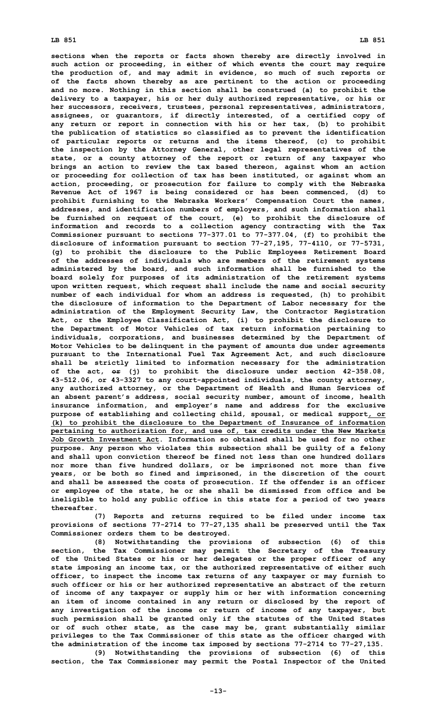**sections when the reports or facts shown thereby are directly involved in such action or proceeding, in either of which events the court may require the production of, and may admit in evidence, so much of such reports or of the facts shown thereby as are pertinent to the action or proceeding and no more. Nothing in this section shall be construed (a) to prohibit the delivery to <sup>a</sup> taxpayer, his or her duly authorized representative, or his or her successors, receivers, trustees, personal representatives, administrators, assignees, or guarantors, if directly interested, of <sup>a</sup> certified copy of any return or report in connection with his or her tax, (b) to prohibit the publication of statistics so classified as to prevent the identification of particular reports or returns and the items thereof, (c) to prohibit the inspection by the Attorney General, other legal representatives of the state, or <sup>a</sup> county attorney of the report or return of any taxpayer who brings an action to review the tax based thereon, against whom an action or proceeding for collection of tax has been instituted, or against whom an action, proceeding, or prosecution for failure to comply with the Nebraska Revenue Act of 1967 is being considered or has been commenced, (d) to prohibit furnishing to the Nebraska Workers' Compensation Court the names, addresses, and identification numbers of employers, and such information shall be furnished on request of the court, (e) to prohibit the disclosure of information and records to <sup>a</sup> collection agency contracting with the Tax Commissioner pursuant to sections 77-377.01 to 77-377.04, (f) to prohibit the disclosure of information pursuant to section 77-27,195, 77-4110, or 77-5731, (g) to prohibit the disclosure to the Public Employees Retirement Board of the addresses of individuals who are members of the retirement systems administered by the board, and such information shall be furnished to the board solely for purposes of its administration of the retirement systems upon written request, which request shall include the name and social security number of each individual for whom an address is requested, (h) to prohibit the disclosure of information to the Department of Labor necessary for the administration of the Employment Security Law, the Contractor Registration Act, or the Employee Classification Act, (i) to prohibit the disclosure to the Department of Motor Vehicles of tax return information pertaining to individuals, corporations, and businesses determined by the Department of Motor Vehicles to be delinquent in the payment of amounts due under agreements pursuant to the International Fuel Tax Agreement Act, and such disclosure shall be strictly limited to information necessary for the administration of the act, or (j) to prohibit the disclosure under section 42-358.08, 43-512.06, or 43-3327 to any court-appointed individuals, the county attorney, any authorized attorney, or the Department of Health and Human Services of an absent parent's address, social security number, amount of income, health insurance information, and employer's name and address for the exclusive purpose of establishing and collecting child, spousal, or medical support, or (k) to prohibit the disclosure to the Department of Insurance of information pertaining to authorization for, and use of, tax credits under the New Markets Job Growth Investment Act. Information so obtained shall be used for no other purpose. Any person who violates this subsection shall be guilty of <sup>a</sup> felony and shall upon conviction thereof be fined not less than one hundred dollars nor more than five hundred dollars, or be imprisoned not more than five years, or be both so fined and imprisoned, in the discretion of the court and shall be assessed the costs of prosecution. If the offender is an officer or employee of the state, he or she shall be dismissed from office and be ineligible to hold any public office in this state for <sup>a</sup> period of two years thereafter.**

**(7) Reports and returns required to be filed under income tax provisions of sections 77-2714 to 77-27,135 shall be preserved until the Tax Commissioner orders them to be destroyed.**

**(8) Notwithstanding the provisions of subsection (6) of this section, the Tax Commissioner may permit the Secretary of the Treasury of the United States or his or her delegates or the proper officer of any state imposing an income tax, or the authorized representative of either such officer, to inspect the income tax returns of any taxpayer or may furnish to such officer or his or her authorized representative an abstract of the return of income of any taxpayer or supply him or her with information concerning an item of income contained in any return or disclosed by the report of any investigation of the income or return of income of any taxpayer, but such permission shall be granted only if the statutes of the United States or of such other state, as the case may be, grant substantially similar privileges to the Tax Commissioner of this state as the officer charged with the administration of the income tax imposed by sections 77-2714 to 77-27,135.**

**(9) Notwithstanding the provisions of subsection (6) of this section, the Tax Commissioner may permit the Postal Inspector of the United**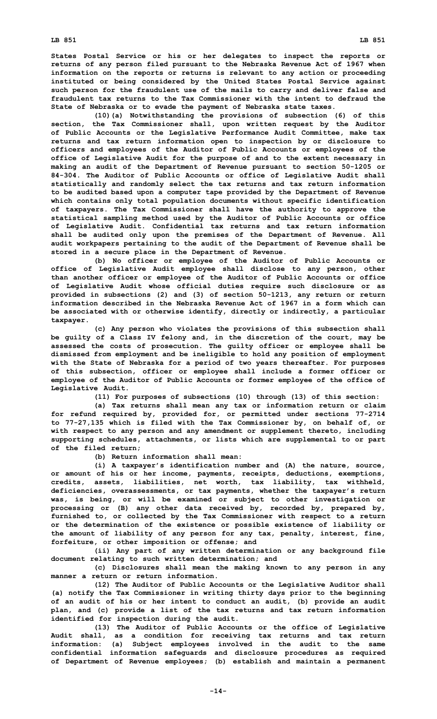**(10)(a) Notwithstanding the provisions of subsection (6) of this section, the Tax Commissioner shall, upon written request by the Auditor of Public Accounts or the Legislative Performance Audit Committee, make tax returns and tax return information open to inspection by or disclosure to officers and employees of the Auditor of Public Accounts or employees of the office of Legislative Audit for the purpose of and to the extent necessary in making an audit of the Department of Revenue pursuant to section 50-1205 or 84-304. The Auditor of Public Accounts or office of Legislative Audit shall statistically and randomly select the tax returns and tax return information to be audited based upon <sup>a</sup> computer tape provided by the Department of Revenue which contains only total population documents without specific identification of taxpayers. The Tax Commissioner shall have the authority to approve the statistical sampling method used by the Auditor of Public Accounts or office of Legislative Audit. Confidential tax returns and tax return information shall be audited only upon the premises of the Department of Revenue. All audit workpapers pertaining to the audit of the Department of Revenue shall be stored in <sup>a</sup> secure place in the Department of Revenue.**

**(b) No officer or employee of the Auditor of Public Accounts or office of Legislative Audit employee shall disclose to any person, other than another officer or employee of the Auditor of Public Accounts or office of Legislative Audit whose official duties require such disclosure or as provided in subsections (2) and (3) of section 50-1213, any return or return information described in the Nebraska Revenue Act of 1967 in a form which can be associated with or otherwise identify, directly or indirectly, <sup>a</sup> particular taxpayer.**

**(c) Any person who violates the provisions of this subsection shall be guilty of <sup>a</sup> Class IV felony and, in the discretion of the court, may be assessed the costs of prosecution. The guilty officer or employee shall be dismissed from employment and be ineligible to hold any position of employment with the State of Nebraska for <sup>a</sup> period of two years thereafter. For purposes of this subsection, officer or employee shall include <sup>a</sup> former officer or employee of the Auditor of Public Accounts or former employee of the office of Legislative Audit.**

**(11) For purposes of subsections (10) through (13) of this section:**

**(a) Tax returns shall mean any tax or information return or claim for refund required by, provided for, or permitted under sections 77-2714 to 77-27,135 which is filed with the Tax Commissioner by, on behalf of, or with respect to any person and any amendment or supplement thereto, including supporting schedules, attachments, or lists which are supplemental to or part of the filed return;**

**(b) Return information shall mean:**

**(i) <sup>A</sup> taxpayer's identification number and (A) the nature, source, or amount of his or her income, payments, receipts, deductions, exemptions, credits, assets, liabilities, net worth, tax liability, tax withheld, deficiencies, overassessments, or tax payments, whether the taxpayer's return was, is being, or will be examined or subject to other investigation or processing or (B) any other data received by, recorded by, prepared by, furnished to, or collected by the Tax Commissioner with respect to <sup>a</sup> return or the determination of the existence or possible existence of liability or the amount of liability of any person for any tax, penalty, interest, fine, forfeiture, or other imposition or offense; and**

**(ii) Any part of any written determination or any background file document relating to such written determination; and**

**(c) Disclosures shall mean the making known to any person in any manner a return or return information.**

**(12) The Auditor of Public Accounts or the Legislative Auditor shall (a) notify the Tax Commissioner in writing thirty days prior to the beginning of an audit of his or her intent to conduct an audit, (b) provide an audit plan, and (c) provide <sup>a</sup> list of the tax returns and tax return information identified for inspection during the audit.**

**(13) The Auditor of Public Accounts or the office of Legislative Audit shall, as <sup>a</sup> condition for receiving tax returns and tax return information: (a) Subject employees involved in the audit to the same confidential information safeguards and disclosure procedures as required of Department of Revenue employees; (b) establish and maintain <sup>a</sup> permanent**